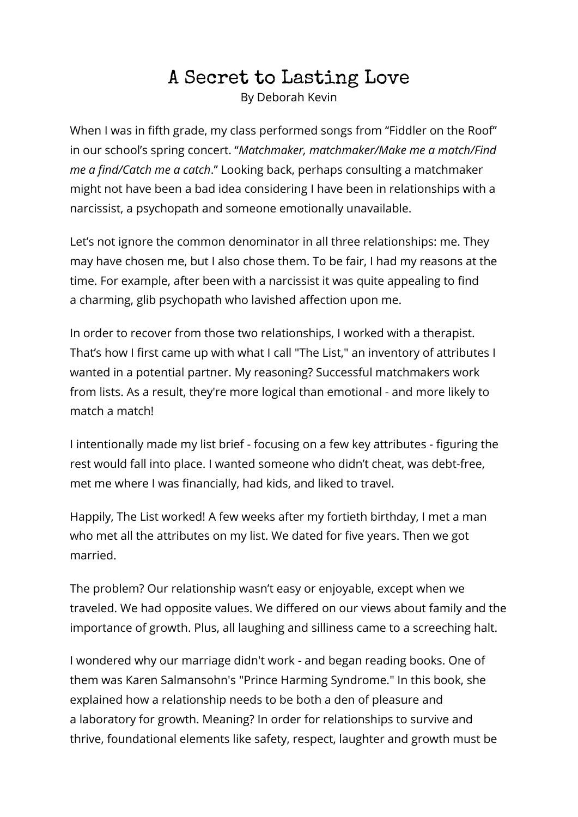## A Secret to Lasting Love

By Deborah Kevin

When I was in fifth grade, my class performed songs from "Fiddler on the Roof" in our school's spring concert. "*Matchmaker, matchmaker/Make me a match/Find me a find/Catch me a catch*." Looking back, perhaps consulting a matchmaker might not have been a bad idea considering I have been in relationships with a narcissist, a psychopath and someone emotionally unavailable.

Let's not ignore the common denominator in all three relationships: me. They may have chosen me, but I also chose them. To be fair, I had my reasons at the time. For example, after been with a narcissist it was quite appealing to find a charming, glib psychopath who lavished affection upon me.

In order to recover from those two relationships, I worked with a therapist. That's how I first came up with what I call "The List," an inventory of attributes I wanted in a potential partner. My reasoning? Successful matchmakers work from lists. As a result, they're more logical than emotional - and more likely to match a match!

I intentionally made my list brief - focusing on a few key attributes - figuring the rest would fall into place. I wanted someone who didn't cheat, was debt-free, met me where I was financially, had kids, and liked to travel.

Happily, The List worked! A few weeks after my fortieth birthday, I met a man who met all the attributes on my list. We dated for five years. Then we got married.

The problem? Our relationship wasn't easy or enjoyable, except when we traveled. We had opposite values. We differed on our views about family and the importance of growth. Plus, all laughing and silliness came to a screeching halt.

I wondered why our marriage didn't work - and began reading books. One of them was Karen Salmansohn's "Prince Harming Syndrome." In this book, she explained how a relationship needs to be both a den of pleasure and a laboratory for growth. Meaning? In order for relationships to survive and thrive, foundational elements like safety, respect, laughter and growth must be